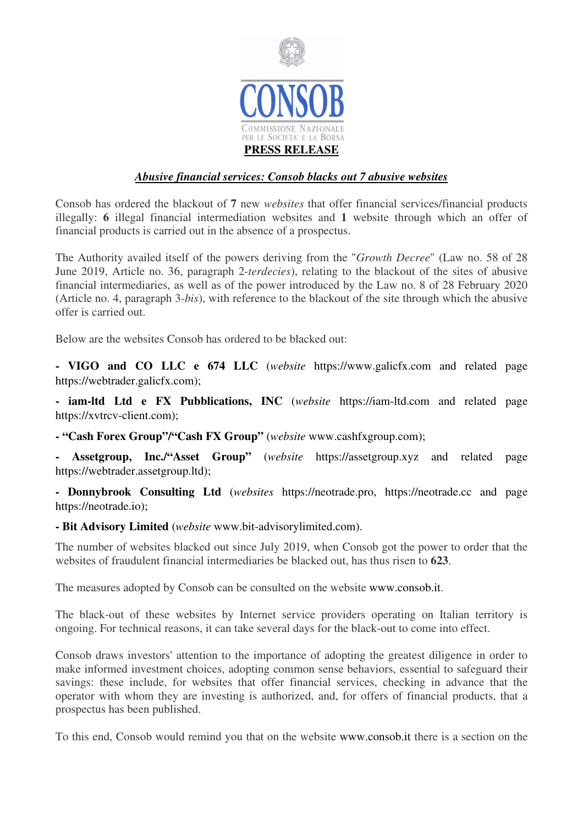

## *Abusive financial services: Consob blacks out 7 abusive websites*

Consob has ordered the blackout of **7** new *websites* that offer financial services/financial products illegally: **6** illegal financial intermediation websites and **1** website through which an offer of financial products is carried out in the absence of a prospectus.

The Authority availed itself of the powers deriving from the "*Growth Decree*" (Law no. 58 of 28 June 2019, Article no. 36, paragraph 2-*terdecies*), relating to the blackout of the sites of abusive financial intermediaries, as well as of the power introduced by the Law no. 8 of 28 February 2020 (Article no. 4, paragraph 3-*bis*), with reference to the blackout of the site through which the abusive offer is carried out.

Below are the websites Consob has ordered to be blacked out:

**- VIGO and CO LLC e 674 LLC** (*website* https://www.galicfx.com and related page https://webtrader.galicfx.com);

**- iam-ltd Ltd e FX Pubblications, INC** (*website* https://iam-ltd.com and related page https://xvtrcv-client.com);

**- "Cash Forex Group"/"Cash FX Group"** (*website* www.cashfxgroup.com);

**- Assetgroup, Inc./"Asset Group"** (*website* https://assetgroup.xyz and related page https://webtrader.assetgroup.ltd);

**- Donnybrook Consulting Ltd** (*websites* https://neotrade.pro, https://neotrade.cc and page https://neotrade.io);

**- Bit Advisory Limited** (*website* www.bit-advisorylimited.com).

The number of websites blacked out since July 2019, when Consob got the power to order that the websites of fraudulent financial intermediaries be blacked out, has thus risen to **623**.

The measures adopted by Consob can be consulted on the website www.consob.it.

The black-out of these websites by Internet service providers operating on Italian territory is ongoing. For technical reasons, it can take several days for the black-out to come into effect.

Consob draws investors' attention to the importance of adopting the greatest diligence in order to make informed investment choices, adopting common sense behaviors, essential to safeguard their savings: these include, for websites that offer financial services, checking in advance that the operator with whom they are investing is authorized, and, for offers of financial products, that a prospectus has been published.

To this end, Consob would remind you that on the website www.consob.it there is a section on the